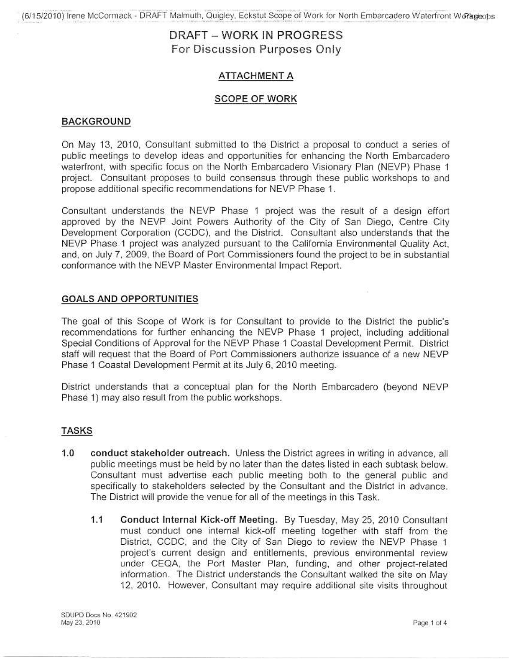## ATTACHMENT A

### **SCOPE OF WORK**

## BACKGROUND

On May 13, 2010, Consultant submitted to the District a proposal to conduct a series of public meetings to develop ideas and opportunities for enhancing the North Embarcadero waterfront, with specific focus on the North Embarcadero Visionary Plan (NEVP) Phase 1 project. Consultant proposes to build consensus through these public workshops to and propose additional specific recommendations for NEVP Phase 1.

Consultant understands the NEVP Phase 1 project was the result of a design effort approved by the NEVP Joint Powers Authority of the City of San Diego, Centre City Development Corporation (CCDC), and the District. Consultant also understands that the NEVP Phase 1 project was analyzed pursuant to the California Environmental Quality Act. and, on July 7, 2009, the Board of Port Commissioners found the project to be in substantial conformance with the NEVP Master Environmental Impact Report.

### **GOALS AND OPPORTUNITIES**

The goal of this Scope of Work is for Consultant to provide to the District the public's recommendations for further enhancing the NEVP Phase 1 project, including additional Special Conditions of Approval for the NEVP Phase 1 Coastal Development Permit. District staff will request that the Board of Port Commissioners authorize issuance of a new NEVP Phase 1 Coastal Development Permit at its July 6, 2010 meeting.

District understands that a conceptual plan for the North Embarcadero (beyond NEVP Phase 1) may also result from the public workshops.

### **TASKS**

- $1.0$ conduct stakeholder outreach. Unless the District agrees in writing in advance, all public meetings must be held by no later than the dates listed in each subtask below. Consultant must advertise each public meeting both to the general public and specifically to stakeholders selected by the Consultant and the District in advance. The District will provide the venue for all of the meetings in this Task.
	- $1.1$ Conduct Internal Kick-off Meeting. By Tuesday, May 25, 2010 Consultant must conduct one internal kick-off meeting together with staff from the District, CCDC, and the City of San Diego to review the NEVP Phase 1 project's current design and entitlements, previous environmental review under CEQA, the Port Master Plan, funding, and other project-related information. The District understands the Consultant walked the site on May 12, 2010. However, Consultant may require additional site visits throughout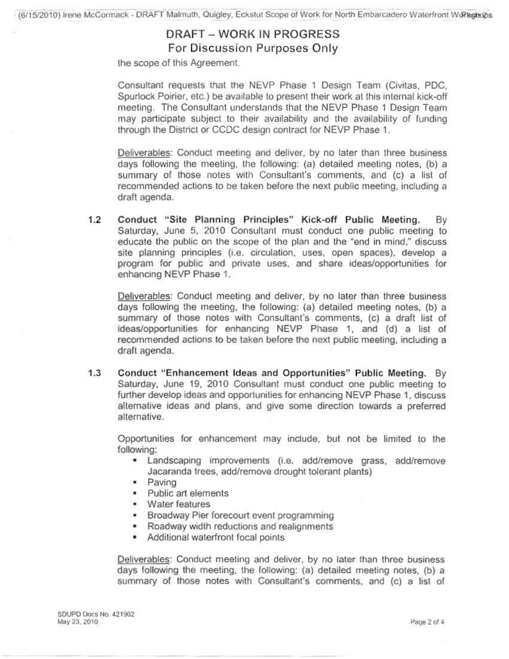the scope of this Agreement.

Consultant requests that the NEVP Phase 1 Design Team (Civitas, PDC, Spurlock Poirier, etc.) be available to present their work at this internal kick-off meeting. The Consultant understands that the NEVP Phase 1 Design Team mav participate subject to their availability and the availability of funding through the District or CCDC design contract for NEVP Phase 1.

Deliverables: Conduct meeting and deliver, by no later than three business days following the meeting, the following: (a) detailed meeting notes, (b) a summary of those notes with Consultant's comments, and (c) a list of recommended actions to be taken before the next public meeting, including a draft agenda.

 $1.2$ Conduct "Site Planning Principles" Kick-off Public Meeting. Bv Saturday, June 5, 2010 Consultant must conduct one public meeting to educate the public on the scope of the plan and the "end in mind," discuss site planning principles (i.e. circulation, uses, open spaces), develop a program for public and private uses, and share ideas/opportunities for enhancing NEVP Phase 1.

Deliverables: Conduct meeting and deliver, by no later than three business days following the meeting, the following: (a) detailed meeting notes, (b) a summary of those notes with Consultant's comments, (c) a draft list of ideas/opportunities for enhancing NEVP Phase 1, and (d) a list of recommended actions to be taken before the next public meeting, including a draft agenda.

 $1.3$ Conduct "Enhancement Ideas and Opportunities" Public Meeting. By Saturday, June 19, 2010 Consultant must conduct one public meeting to further develop ideas and opportunities for enhancing NEVP Phase 1, discuss alternative ideas and plans, and give some direction towards a preferred alternative.

Opportunities for enhancement may include, but not be limited to the following:

- " Landscaping improvements (i.e. add/remove grass, add/remove Jacaranda trees, add/remove drought tolerant plants)
- · Paving
- Public art elements
- Water features
- · Broadway Pier forecourt event programming
- Roadway width reductions and realignments
- Additional waterfront focal points

Deliverables: Conduct meeting and deliver, by no later than three business days following the meeting, the following: (a) detailed meeting notes, (b) a summary of those notes with Consultant's comments, and (c) a list of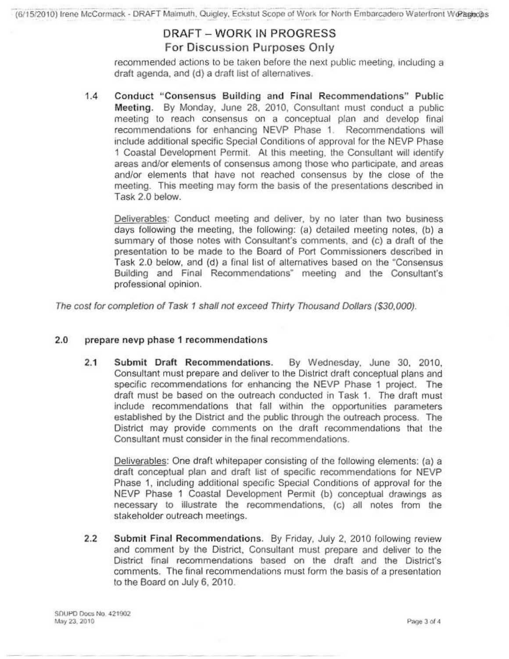recommended actions to be taken before the next public meeting, including a draft agenda, and (d) a draft list of alternatives.

 $1.4$ Conduct "Consensus Building and Final Recommendations" Public Meeting. By Monday, June 28, 2010, Consultant must conduct a public meeting to reach consensus on a conceptual plan and develop final recommendations for enhancing NEVP Phase 1. Recommendations will include additional specific Special Conditions of approval for the NEVP Phase 1 Coastal Development Permit. At this meeting, the Consultant will identify areas and/or elements of consensus among those who participate, and areas and/or elements that have not reached consensus by the close of the meeting. This meeting may form the basis of the presentations described in Task 2.0 below.

Deliverables: Conduct meeting and deliver, by no later than two business days following the meeting, the following: (a) detailed meeting notes, (b) a summary of those notes with Consultant's comments, and (c) a draft of the presentation to be made to the Board of Port Commissioners described in Task 2.0 below, and (d) a final list of alternatives based on the "Consensus Building and Final Recommendations" meeting and the Consultant's professional opinion.

The cost for completion of Task 1 shall not exceed Thirty Thousand Dollars (\$30,000).

#### $2.0$ prepare nevp phase 1 recommendations

 $2.1$ Submit Draft Recommendations. By Wednesday, June 30, 2010, Consultant must prepare and deliver to the District draft conceptual plans and specific recommendations for enhancing the NEVP Phase 1 project. The draft must be based on the outreach conducted in Task 1. The draft must include recommendations that fall within the opportunities parameters established by the District and the public through the outreach process. The District may provide comments on the draft recommendations that the Consultant must consider in the final recommendations.

Deliverables: One draft whitepaper consisting of the following elements: (a) a draft conceptual plan and draft list of specific recommendations for NEVP Phase 1, including additional specific Special Conditions of approval for the NEVP Phase 1 Coastal Development Permit (b) conceptual drawings as necessary to illustrate the recommendations, (c) all notes from the stakeholder outreach meetings.

 $2.2$ Submit Final Recommendations. By Friday, July 2, 2010 following review and comment by the District, Consultant must prepare and deliver to the District final recommendations based on the draft and the District's comments. The final recommendations must form the basis of a presentation to the Board on July 6, 2010.

SDUPD Docs No. 421902 May 23, 2010